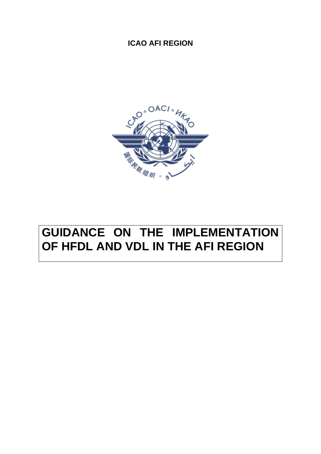# **ICAO AFI REGION**



# **GUIDANCE ON THE IMPLEMENTATION OF HFDL AND VDL IN THE AFI REGION**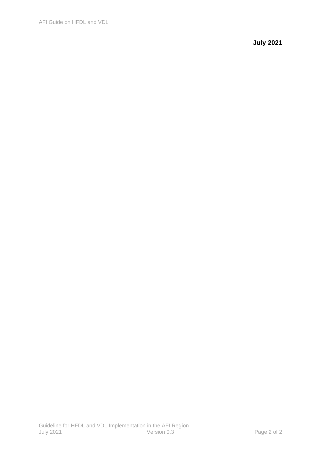**July 2021**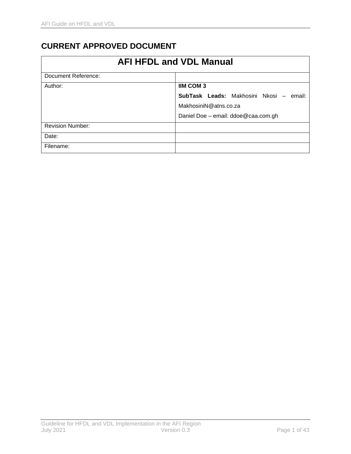# <span id="page-2-0"></span>**CURRENT APPROVED DOCUMENT**

| <b>AFI HFDL and VDL Manual</b> |                                         |  |
|--------------------------------|-----------------------------------------|--|
| Document Reference:            |                                         |  |
| Author:                        | <b>IIM COM 3</b>                        |  |
|                                | SubTask Leads: Makhosini Nkosi – email: |  |
|                                | MakhosiniN@atns.co.za                   |  |
|                                | Daniel Doe - email: ddoe@caa.com.gh     |  |
| <b>Revision Number:</b>        |                                         |  |
| Date:                          |                                         |  |
| Filename:                      |                                         |  |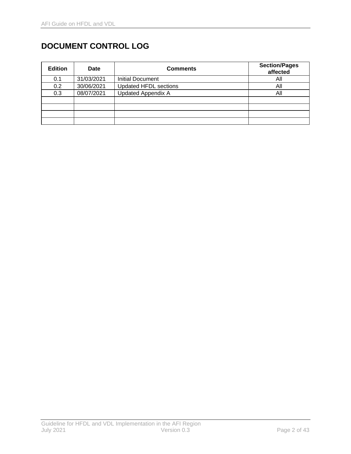# <span id="page-3-0"></span>**DOCUMENT CONTROL LOG**

| <b>Edition</b> | <b>Date</b> | <b>Comments</b>              | <b>Section/Pages</b><br>affected |
|----------------|-------------|------------------------------|----------------------------------|
| 0.1            | 31/03/2021  | Initial Document             | All                              |
| 0.2            | 30/06/2021  | <b>Updated HFDL sections</b> | All                              |
| 0.3            | 08/07/2021  | <b>Updated Appendix A</b>    | All                              |
|                |             |                              |                                  |
|                |             |                              |                                  |
|                |             |                              |                                  |
|                |             |                              |                                  |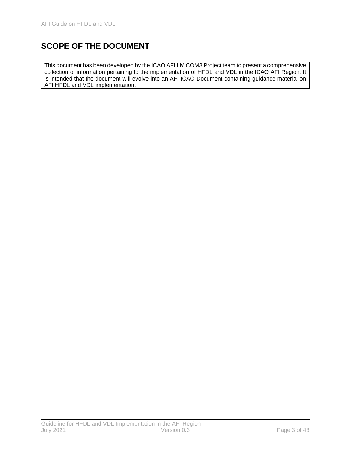# <span id="page-4-0"></span>**SCOPE OF THE DOCUMENT**

This document has been developed by the ICAO AFI IIM COM3 Project team to present a comprehensive collection of information pertaining to the implementation of HFDL and VDL in the ICAO AFI Region. It is intended that the document will evolve into an AFI ICAO Document containing guidance material on AFI HFDL and VDL implementation.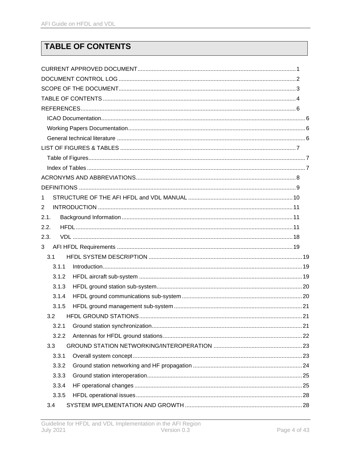# <span id="page-5-0"></span>**TABLE OF CONTENTS**

| 1              |  |
|----------------|--|
| $\overline{2}$ |  |
| 2.1.           |  |
| 2.2.           |  |
| 2.3.           |  |
| 3 <sup>1</sup> |  |
| 3.1            |  |
| 3.1.1          |  |
| 3.1.2          |  |
| 3.1.3          |  |
| 3.1.4          |  |
| 3.1.5          |  |
| 3.2            |  |
| 3.2.1          |  |
| 3.2.2          |  |
| 3.3            |  |
| 3.3.1          |  |
| 3.3.2          |  |
| 3.3.3          |  |
| 3.3.4          |  |
| 3.3.5          |  |
| 3.4            |  |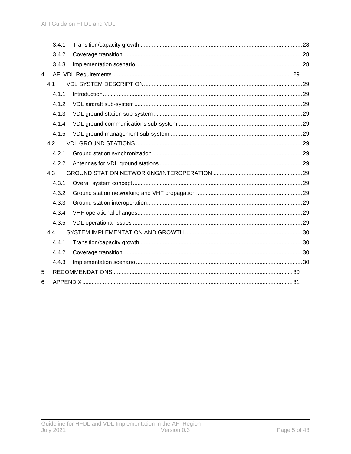| 3.4.1 |  |  |
|-------|--|--|
| 3.4.2 |  |  |
| 3.4.3 |  |  |
|       |  |  |
| 4.1   |  |  |
| 4.1.1 |  |  |
| 4.1.2 |  |  |
| 4.1.3 |  |  |
| 4.1.4 |  |  |
| 4.1.5 |  |  |
| 4.2   |  |  |
| 4.2.1 |  |  |
| 4.2.2 |  |  |
| 4.3   |  |  |
| 4.3.1 |  |  |
| 4.3.2 |  |  |
| 4.3.3 |  |  |
| 4.3.4 |  |  |
| 4.3.5 |  |  |
| 4.4   |  |  |
| 4.4.1 |  |  |
| 4.4.2 |  |  |
| 4.4.3 |  |  |
|       |  |  |
|       |  |  |
|       |  |  |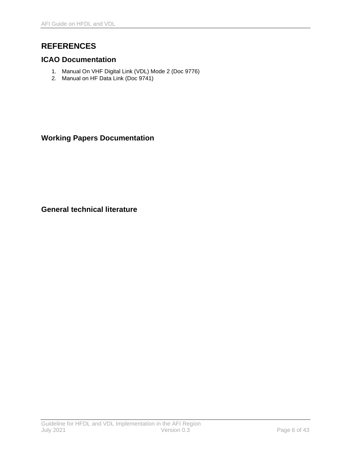# <span id="page-7-0"></span>**REFERENCES**

# <span id="page-7-1"></span>**ICAO Documentation**

- 1. Manual On VHF Digital Link (VDL) Mode 2 (Doc 9776)
- 2. Manual on HF Data Link (Doc 9741)

# <span id="page-7-2"></span>**Working Papers Documentation**

<span id="page-7-3"></span>**General technical literature**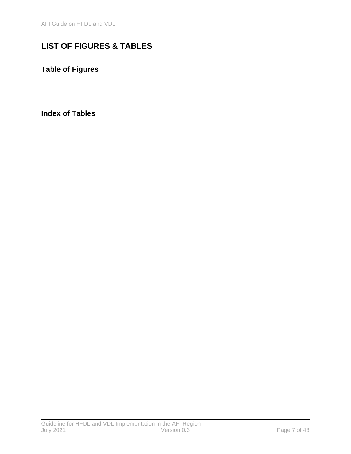# <span id="page-8-0"></span>**LIST OF FIGURES & TABLES**

<span id="page-8-1"></span>**Table of Figures**

<span id="page-8-2"></span>**Index of Tables**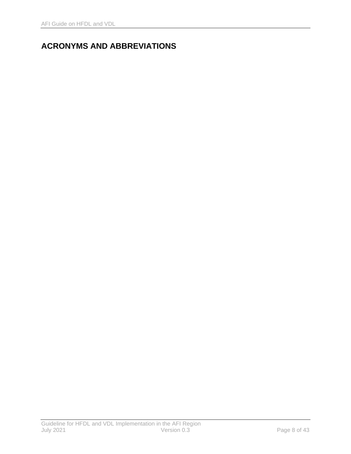# <span id="page-9-0"></span>**ACRONYMS AND ABBREVIATIONS**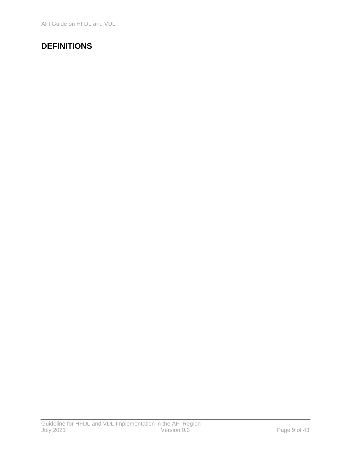# <span id="page-10-0"></span>**DEFINITIONS**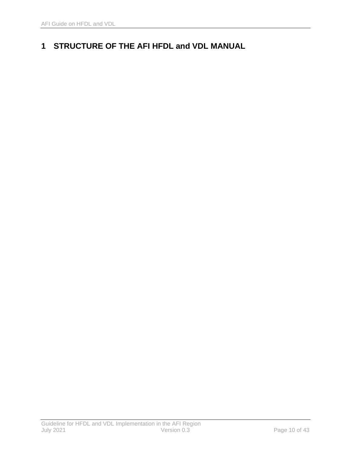# <span id="page-11-0"></span>**1 STRUCTURE OF THE AFI HFDL and VDL MANUAL**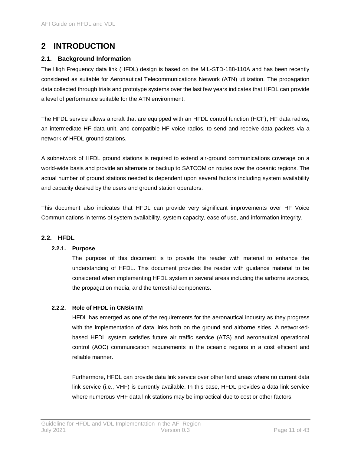# <span id="page-12-0"></span>**2 INTRODUCTION**

# <span id="page-12-1"></span>**2.1. Background Information**

The High Frequency data link (HFDL) design is based on the MIL-STD-188-110A and has been recently considered as suitable for Aeronautical Telecommunications Network (ATN) utilization. The propagation data collected through trials and prototype systems over the last few years indicates that HFDL can provide a level of performance suitable for the ATN environment.

The HFDL service allows aircraft that are equipped with an HFDL control function (HCF), HF data radios, an intermediate HF data unit, and compatible HF voice radios, to send and receive data packets via a network of HFDL ground stations.

A subnetwork of HFDL ground stations is required to extend air-ground communications coverage on a world-wide basis and provide an alternate or backup to SATCOM on routes over the oceanic regions. The actual number of ground stations needed is dependent upon several factors including system availability and capacity desired by the users and ground station operators.

This document also indicates that HFDL can provide very significant improvements over HF Voice Communications in terms of system availability, system capacity, ease of use, and information integrity.

### <span id="page-12-2"></span>**2.2. HFDL**

## **2.2.1. Purpose**

The purpose of this document is to provide the reader with material to enhance the understanding of HFDL. This document provides the reader with guidance material to be considered when implementing HFDL system in several areas including the airborne avionics, the propagation media, and the terrestrial components.

### **2.2.2. Role of HFDL in CNS/ATM**

HFDL has emerged as one of the requirements for the aeronautical industry as they progress with the implementation of data links both on the ground and airborne sides. A networkedbased HFDL system satisfies future air traffic service (ATS) and aeronautical operational control (AOC) communication requirements in the oceanic regions in a cost efficient and reliable manner.

Furthermore, HFDL can provide data link service over other land areas where no current data link service (i.e., VHF) is currently available. In this case, HFDL provides a data link service where numerous VHF data link stations may be impractical due to cost or other factors.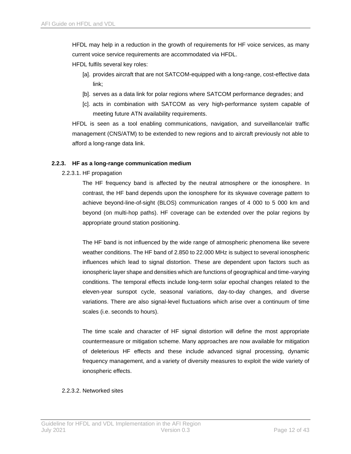HFDL may help in a reduction in the growth of requirements for HF voice services, as many current voice service requirements are accommodated via HFDL.

HFDL fulfils several key roles:

- [a]. provides aircraft that are not SATCOM-equipped with a long-range, cost-effective data link;
- [b]. serves as a data link for polar regions where SATCOM performance degrades; and
- [c]. acts in combination with SATCOM as very high-performance system capable of meeting future ATN availability requirements.

HFDL is seen as a tool enabling communications, navigation, and surveillance/air traffic management (CNS/ATM) to be extended to new regions and to aircraft previously not able to afford a long-range data link.

#### **2.2.3. HF as a long-range communication medium**

2.2.3.1. HF propagation

The HF frequency band is affected by the neutral atmosphere or the ionosphere. In contrast, the HF band depends upon the ionosphere for its skywave coverage pattern to achieve beyond-line-of-sight (BLOS) communication ranges of 4 000 to 5 000 km and beyond (on multi-hop paths). HF coverage can be extended over the polar regions by appropriate ground station positioning.

The HF band is not influenced by the wide range of atmospheric phenomena like severe weather conditions. The HF band of 2.850 to 22.000 MHz is subject to several ionospheric influences which lead to signal distortion. These are dependent upon factors such as ionospheric layer shape and densities which are functions of geographical and time-varying conditions. The temporal effects include long-term solar epochal changes related to the eleven-year sunspot cycle, seasonal variations, day-to-day changes, and diverse variations. There are also signal-level fluctuations which arise over a continuum of time scales (i.e. seconds to hours).

The time scale and character of HF signal distortion will define the most appropriate countermeasure or mitigation scheme. Many approaches are now available for mitigation of deleterious HF effects and these include advanced signal processing, dynamic frequency management, and a variety of diversity measures to exploit the wide variety of ionospheric effects.

#### 2.2.3.2. Networked sites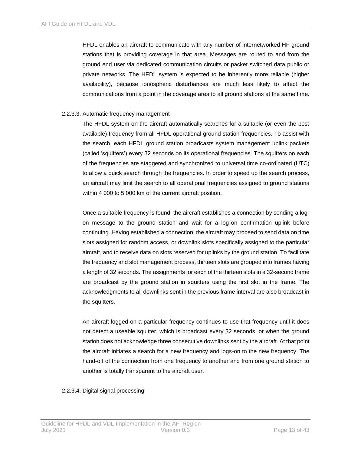HFDL enables an aircraft to communicate with any number of internetworked HF ground stations that is providing coverage in that area. Messages are routed to and from the ground end user via dedicated communication circuits or packet switched data public or private networks. The HFDL system is expected to be inherently more reliable (higher availability), because ionospheric disturbances are much less likely to affect the communications from a point in the coverage area to all ground stations at the same time.

#### 2.2.3.3. Automatic frequency management

The HFDL system on the aircraft automatically searches for a suitable (or even the best available) frequency from all HFDL operational ground station frequencies. To assist with the search, each HFDL ground station broadcasts system management uplink packets (called 'squitters') every 32 seconds on its operational frequencies. The squitters on each of the frequencies are staggered and synchronized to universal time co-ordinated (UTC) to allow a quick search through the frequencies. In order to speed up the search process, an aircraft may limit the search to all operational frequencies assigned to ground stations within 4 000 to 5 000 km of the current aircraft position.

Once a suitable frequency is found, the aircraft establishes a connection by sending a logon message to the ground station and wait for a log-on confirmation uplink before continuing. Having established a connection, the aircraft may proceed to send data on time slots assigned for random access, or downlink slots specifically assigned to the particular aircraft, and to receive data on slots reserved for uplinks by the ground station. To facilitate the frequency and slot management process, thirteen slots are grouped into frames having a length of 32 seconds. The assignments for each of the thirteen slots in a 32-second frame are broadcast by the ground station in squitters using the first slot in the frame. The acknowledgments to all downlinks sent in the previous frame interval are also broadcast in the squitters.

An aircraft logged-on a particular frequency continues to use that frequency until it does not detect a useable squitter, which is broadcast every 32 seconds, or when the ground station does not acknowledge three consecutive downlinks sent by the aircraft. At that point the aircraft initiates a search for a new frequency and logs-on to the new frequency. The hand-off of the connection from one frequency to another and from one ground station to another is totally transparent to the aircraft user.

#### 2.2.3.4. Digital signal processing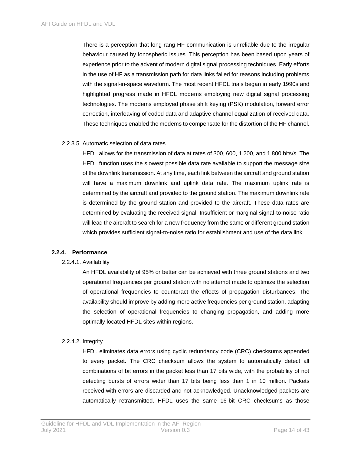There is a perception that long rang HF communication is unreliable due to the irregular behaviour caused by ionospheric issues. This perception has been based upon years of experience prior to the advent of modern digital signal processing techniques. Early efforts in the use of HF as a transmission path for data links failed for reasons including problems with the signal-in-space waveform. The most recent HFDL trials began in early 1990s and highlighted progress made in HFDL modems employing new digital signal processing technologies. The modems employed phase shift keying (PSK) modulation, forward error correction, interleaving of coded data and adaptive channel equalization of received data. These techniques enabled the modems to compensate for the distortion of the HF channel.

#### 2.2.3.5. Automatic selection of data rates

HFDL allows for the transmission of data at rates of 300, 600, 1 200, and 1 800 bits/s. The HFDL function uses the slowest possible data rate available to support the message size of the downlink transmission. At any time, each link between the aircraft and ground station will have a maximum downlink and uplink data rate. The maximum uplink rate is determined by the aircraft and provided to the ground station. The maximum downlink rate is determined by the ground station and provided to the aircraft. These data rates are determined by evaluating the received signal. Insufficient or marginal signal-to-noise ratio will lead the aircraft to search for a new frequency from the same or different ground station which provides sufficient signal-to-noise ratio for establishment and use of the data link.

#### **2.2.4. Performance**

#### 2.2.4.1. Availability

An HFDL availability of 95% or better can be achieved with three ground stations and two operational frequencies per ground station with no attempt made to optimize the selection of operational frequencies to counteract the effects of propagation disturbances. The availability should improve by adding more active frequencies per ground station, adapting the selection of operational frequencies to changing propagation, and adding more optimally located HFDL sites within regions.

#### 2.2.4.2. Integrity

HFDL eliminates data errors using cyclic redundancy code (CRC) checksums appended to every packet. The CRC checksum allows the system to automatically detect all combinations of bit errors in the packet less than 17 bits wide, with the probability of not detecting bursts of errors wider than 17 bits being less than 1 in 10 million. Packets received with errors are discarded and not acknowledged. Unacknowledged packets are automatically retransmitted. HFDL uses the same 16-bit CRC checksums as those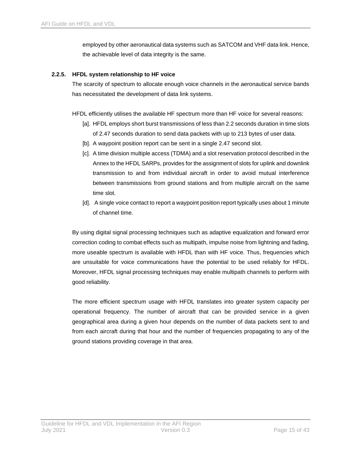employed by other aeronautical data systems such as SATCOM and VHF data link. Hence, the achievable level of data integrity is the same.

#### **2.2.5. HFDL system relationship to HF voice**

The scarcity of spectrum to allocate enough voice channels in the aeronautical service bands has necessitated the development of data link systems.

HFDL efficiently utilises the available HF spectrum more than HF voice for several reasons:

- [a]. HFDL employs short burst transmissions of less than 2.2 seconds duration in time slots of 2.47 seconds duration to send data packets with up to 213 bytes of user data.
- [b]. A waypoint position report can be sent in a single 2.47 second slot.
- [c]. A time division multiple access (TDMA) and a slot reservation protocol described in the Annex to the HFDL SARPs, provides for the assignment of slots for uplink and downlink transmission to and from individual aircraft in order to avoid mutual interference between transmissions from ground stations and from multiple aircraft on the same time slot.
- [d]. A single voice contact to report a waypoint position report typically uses about 1 minute of channel time.

By using digital signal processing techniques such as adaptive equalization and forward error correction coding to combat effects such as multipath, impulse noise from lightning and fading, more useable spectrum is available with HFDL than with HF voice. Thus, frequencies which are unsuitable for voice communications have the potential to be used reliably for HFDL. Moreover, HFDL signal processing techniques may enable multipath channels to perform with good reliability.

The more efficient spectrum usage with HFDL translates into greater system capacity per operational frequency. The number of aircraft that can be provided service in a given geographical area during a given hour depends on the number of data packets sent to and from each aircraft during that hour and the number of frequencies propagating to any of the ground stations providing coverage in that area.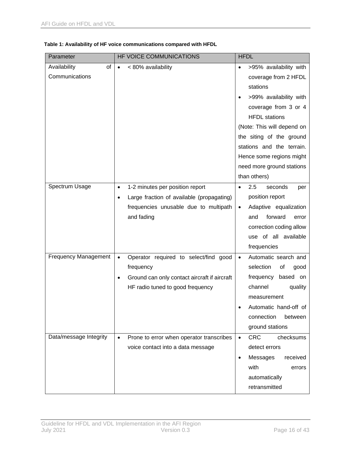| Parameter                   | HF VOICE COMMUNICATIONS                                | <b>HFDL</b>                          |
|-----------------------------|--------------------------------------------------------|--------------------------------------|
| Availability<br>οf          | < 80% availability<br>$\bullet$                        | >95% availability with<br>$\bullet$  |
| Communications              |                                                        | coverage from 2 HFDL                 |
|                             |                                                        | stations                             |
|                             |                                                        | >99% availability with               |
|                             |                                                        | coverage from 3 or 4                 |
|                             |                                                        | <b>HFDL</b> stations                 |
|                             |                                                        | (Note: This will depend on           |
|                             |                                                        | the siting of the ground             |
|                             |                                                        | stations and the terrain.            |
|                             |                                                        | Hence some regions might             |
|                             |                                                        | need more ground stations            |
|                             |                                                        | than others)                         |
| Spectrum Usage              | 1-2 minutes per position report<br>$\bullet$           | 2.5<br>seconds<br>$\bullet$<br>per   |
|                             | Large fraction of available (propagating)<br>$\bullet$ | position report                      |
|                             | frequencies unusable due to multipath                  | Adaptive equalization<br>$\bullet$   |
|                             | and fading                                             | forward<br>and<br>error              |
|                             |                                                        | correction coding allow              |
|                             |                                                        | use of all available                 |
|                             |                                                        | frequencies                          |
| <b>Frequency Management</b> | Operator required to select/find good<br>$\bullet$     | Automatic search and<br>$\bullet$    |
|                             | frequency                                              | selection<br>of<br>good              |
|                             | Ground can only contact aircraft if aircraft           | frequency<br>based on                |
|                             | HF radio tuned to good frequency                       | channel<br>quality                   |
|                             |                                                        | measurement                          |
|                             |                                                        | Automatic hand-off of                |
|                             |                                                        | connection<br>between                |
|                             |                                                        | ground stations                      |
| Data/message Integrity      | Prone to error when operator transcribes<br>$\bullet$  | <b>CRC</b><br>checksums<br>$\bullet$ |
|                             | voice contact into a data message                      | detect errors                        |
|                             |                                                        | Messages<br>received                 |
|                             |                                                        | with<br>errors                       |
|                             |                                                        | automatically                        |
|                             |                                                        | retransmitted                        |

#### **Table 1: Availability of HF voice communications compared with HFDL**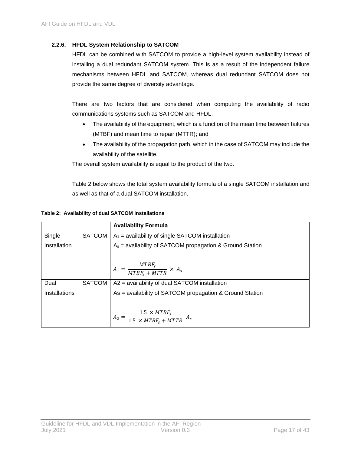#### **2.2.6. HFDL System Relationship to SATCOM**

HFDL can be combined with SATCOM to provide a high-level system availability instead of installing a dual redundant SATCOM system. This is as a result of the independent failure mechanisms between HFDL and SATCOM, whereas dual redundant SATCOM does not provide the same degree of diversity advantage.

There are two factors that are considered when computing the availability of radio communications systems such as SATCOM and HFDL.

- The availability of the equipment, which is a function of the mean time between failures (MTBF) and mean time to repair (MTTR); and
- The availability of the propagation path, which in the case of SATCOM may include the availability of the satellite.

The overall system availability is equal to the product of the two.

[Table 2](#page-18-0) below shows the total system availability formula of a single SATCOM installation and as well as that of a dual SATCOM installation.

|                      |               | <b>Availability Formula</b>                                      |
|----------------------|---------------|------------------------------------------------------------------|
| Single               | SATCOM        | $A_1$ = availability of single SATCOM installation               |
| Installation         |               | $A_s$ = availability of SATCOM propagation & Ground Station      |
|                      |               |                                                                  |
|                      |               | $A_1 = \frac{MTBF_s}{MTBF_s + MTTR} \times A_s$                  |
| Dual                 | <b>SATCOM</b> | A2 = availability of dual SATCOM installation                    |
| <b>Installations</b> |               | As = availability of SATCOM propagation & Ground Station         |
|                      |               | $A_2 = \frac{1.5 \times MTBF_s}{1.5 \times MTBF_s + MTTR} \ A_s$ |

#### <span id="page-18-0"></span>**Table 2: Availability of dual SATCOM installations**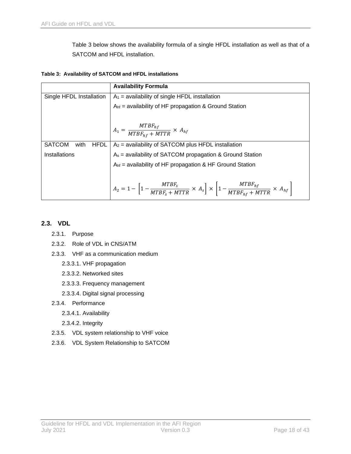[Table 3](#page-19-1) below shows the availability formula of a single HFDL installation as well as that of a SATCOM and HFDL installation.

<span id="page-19-1"></span>**Table 3: Availability of SATCOM and HFDL installations**

|                                      | <b>Availability Formula</b>                                                                                                                   |  |
|--------------------------------------|-----------------------------------------------------------------------------------------------------------------------------------------------|--|
| Single HFDL Installation             | $A_1$ = availability of single HFDL installation                                                                                              |  |
|                                      | $Ahf$ = availability of HF propagation & Ground Station                                                                                       |  |
|                                      |                                                                                                                                               |  |
|                                      | $A_1 = \frac{MTBF_{hf}}{MTBF_{hf} + MTTR} \times A_{hf}$                                                                                      |  |
| <b>SATCOM</b><br><b>HFDL</b><br>with | $A_2$ = availability of SATCOM plus HFDL installation                                                                                         |  |
| Installations                        | $A_s$ = availability of SATCOM propagation & Ground Station                                                                                   |  |
|                                      | $Ahf$ = availability of HF propagation & HF Ground Station                                                                                    |  |
|                                      |                                                                                                                                               |  |
|                                      | $A_2 = 1 - \left[1 - \frac{MTBF_s}{MTBF_s + MTTR} \times A_s\right] \times \left[1 - \frac{MTBF_{hf}}{MTBF_{hf} + MTTR} \times A_{hf}\right]$ |  |

# <span id="page-19-0"></span>**2.3. VDL**

- 2.3.1. Purpose
- 2.3.2. Role of VDL in CNS/ATM
- 2.3.3. VHF as a communication medium
	- 2.3.3.1. VHF propagation
	- 2.3.3.2. Networked sites
	- 2.3.3.3. Frequency management
	- 2.3.3.4. Digital signal processing
- 2.3.4. Performance
	- 2.3.4.1. Availability
	- 2.3.4.2. Integrity
- 2.3.5. VDL system relationship to VHF voice
- 2.3.6. VDL System Relationship to SATCOM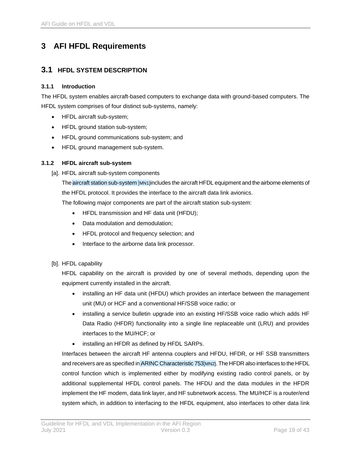# <span id="page-20-0"></span>**3 AFI HFDL Requirements**

# <span id="page-20-1"></span>**3.1 HFDL SYSTEM DESCRIPTION**

#### <span id="page-20-2"></span>**3.1.1 Introduction**

The HFDL system enables aircraft-based computers to exchange data with ground-based computers. The HFDL system comprises of four distinct sub-systems, namely:

- HFDL aircraft sub-system;
- HFDL ground station sub-system;
- HFDL ground communications sub-system; and
- HFDL ground management sub-system.

### <span id="page-20-3"></span>**3.1.2 HFDL aircraft sub-system**

[a]. HFDL aircraft sub-system components

The aircraft station sub-system [MN1]includes the aircraft HFDL equipment and the airborne elements of the HFDL protocol. It provides the interface to the aircraft data link avionics.

The following major components are part of the aircraft station sub-system:

- HFDL transmission and HF data unit (HFDU);
- Data modulation and demodulation;
- HFDL protocol and frequency selection; and
- Interface to the airborne data link processor.
- [b]. HFDL capability

HFDL capability on the aircraft is provided by one of several methods, depending upon the equipment currently installed in the aircraft.

- installing an HF data unit (HFDU) which provides an interface between the management unit (MU) or HCF and a conventional HF/SSB voice radio; or
- installing a service bulletin upgrade into an existing HF/SSB voice radio which adds HF Data Radio (HFDR) functionality into a single line replaceable unit (LRU) and provides interfaces to the MU/HCF; or
- installing an HFDR as defined by HFDL SARPs.

Interfaces between the aircraft HF antenna couplers and HFDU, HFDR, or HF SSB transmitters and receivers are as specified in ARINC Characteristic 753[MN2]. The HFDR also interfaces to the HFDL control function which is implemented either by modifying existing radio control panels, or by additional supplemental HFDL control panels. The HFDU and the data modules in the HFDR implement the HF modem, data link layer, and HF subnetwork access. The MU/HCF is a router/end system which, in addition to interfacing to the HFDL equipment, also interfaces to other data link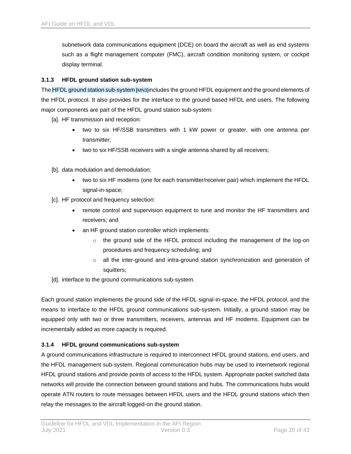subnetwork data communications equipment (DCE) on board the aircraft as well as end systems such as a flight management computer (FMC), aircraft condition monitoring system, or cockpit display terminal.

#### <span id="page-21-0"></span>**3.1.3 HFDL ground station sub-system**

The HFDL ground station sub-system [MN3]includes the ground HFDL equipment and the ground elements of the HFDL protocol. It also provides for the interface to the ground based HFDL end users. The following major components are part of the HFDL ground station sub-system:

- [a]. HF transmission and reception:
	- two to six HF/SSB transmitters with 1 kW power or greater, with one antenna per transmitter;
	- two to six HF/SSB receivers with a single antenna shared by all receivers;
- [b]. data modulation and demodulation:
	- two to six HF modems (one for each transmitter/receiver pair) which implement the HFDL signal-in-space;
- [c]. HF protocol and frequency selection:
	- remote control and supervision equipment to tune and monitor the HF transmitters and receivers; and
	- an HF ground station controller which implements:
		- $\circ$  the ground side of the HFDL protocol including the management of the log-on procedures and frequency scheduling; and
		- $\circ$  all the inter-ground and intra-ground station synchronization and generation of squitters;
- [d]. interface to the ground communications sub-system.

Each ground station implements the ground side of the HFDL signal-in-space, the HFDL protocol, and the means to interface to the HFDL ground communications sub-system. Initially, a ground station may be equipped only with two or three transmitters, receivers, antennas and HF modems. Equipment can be incrementally added as more capacity is required.

### <span id="page-21-1"></span>**3.1.4 HFDL ground communications sub-system**

A ground communications infrastructure is required to interconnect HFDL ground stations, end users, and the HFDL management sub-system. Regional communication hubs may be used to internetwork regional HFDL ground stations and provide points of access to the HFDL system. Appropriate packet switched data networks will provide the connection between ground stations and hubs. The communications hubs would operate ATN routers to route messages between HFDL users and the HFDL ground stations which then relay the messages to the aircraft logged-on the ground station.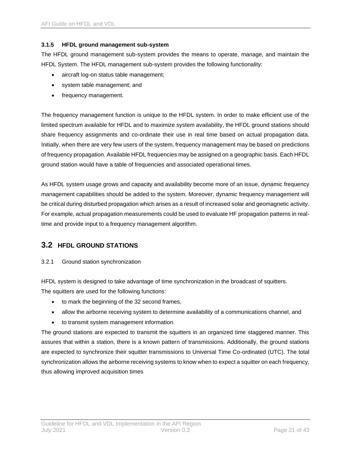#### <span id="page-22-0"></span>**3.1.5 HFDL ground management sub-system**

The HFDL ground management sub-system provides the means to operate, manage, and maintain the HFDL System. The HFDL management sub-system provides the following functionality:

- aircraft log-on status table management;
- system table management; and
- frequency management.

The frequency management function is unique to the HFDL system. In order to make efficient use of the limited spectrum available for HFDL and to maximize system availability, the HFDL ground stations should share frequency assignments and co-ordinate their use in real time based on actual propagation data. Initially, when there are very few users of the system, frequency management may be based on predictions of frequency propagation. Available HFDL frequencies may be assigned on a geographic basis. Each HFDL ground station would have a table of frequencies and associated operational times.

As HFDL system usage grows and capacity and availability become more of an issue, dynamic frequency management capabilities should be added to the system. Moreover, dynamic frequency management will be critical during disturbed propagation which arises as a result of increased solar and geomagnetic activity. For example, actual propagation measurements could be used to evaluate HF propagation patterns in realtime and provide input to a frequency management algorithm.

# <span id="page-22-1"></span>**3.2 HFDL GROUND STATIONS**

#### <span id="page-22-2"></span>3.2.1 Ground station synchronization

HFDL system is designed to take advantage of time synchronization in the broadcast of squitters. The squitters are used for the following functions:

- to mark the beginning of the 32 second frames,
- allow the airborne receiving system to determine availability of a communications channel, and
- to transmit system management information.

The ground stations are expected to transmit the squitters in an organized time staggered manner. This assures that within a station, there is a known pattern of transmissions. Additionally, the ground stations are expected to synchronize their squitter transmissions to Universal Time Co-ordinated (UTC). The total synchronization allows the airborne receiving systems to know when to expect a squitter on each frequency, thus allowing improved acquisition times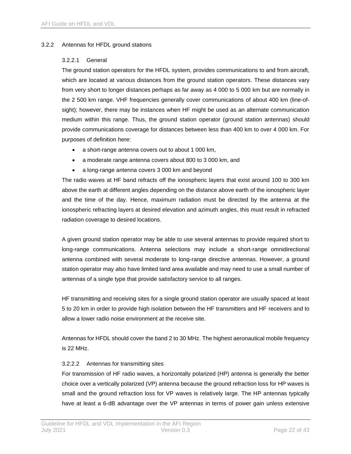#### <span id="page-23-0"></span>3.2.2 Antennas for HFDL ground stations

#### 3.2.2.1 General

The ground station operators for the HFDL system, provides communications to and from aircraft, which are located at various distances from the ground station operators. These distances vary from very short to longer distances perhaps as far away as 4 000 to 5 000 km but are normally in the 2 500 km range. VHF frequencies generally cover communications of about 400 km (line-ofsight); however, there may be instances when HF might be used as an alternate communication medium within this range. Thus, the ground station operator (ground station antennas) should provide communications coverage for distances between less than 400 km to over 4 000 km. For purposes of definition here:

- a short-range antenna covers out to about 1 000 km,
- a moderate range antenna covers about 800 to 3 000 km, and
- a long-range antenna covers 3 000 km and beyond

The radio waves at HF band refracts off the ionospheric layers that exist around 100 to 300 km above the earth at different angles depending on the distance above earth of the ionospheric layer and the time of the day. Hence, maximum radiation must be directed by the antenna at the ionospheric refracting layers at desired elevation and azimuth angles, this must result in refracted radiation coverage to desired locations.

A given ground station operator may be able to use several antennas to provide required short to long-range communications. Antenna selections may include a short-range omnidirectional antenna combined with several moderate to long-range directive antennas. However, a ground station operator may also have limited land area available and may need to use a small number of antennas of a single type that provide satisfactory service to all ranges.

HF transmitting and receiving sites for a single ground station operator are usually spaced at least 5 to 20 km in order to provide high isolation between the HF transmitters and HF receivers and to allow a lower radio noise environment at the receive site.

Antennas for HFDL should cover the band 2 to 30 MHz. The highest aeronautical mobile frequency is 22 MHz.

#### 3.2.2.2 Antennas for transmitting sites

For transmission of HF radio waves, a horizontally polarized (HP) antenna is generally the better choice over a vertically polarized (VP) antenna because the ground refraction loss for HP waves is small and the ground refraction loss for VP waves is relatively large. The HP antennas typically have at least a 6-dB advantage over the VP antennas in terms of power gain unless extensive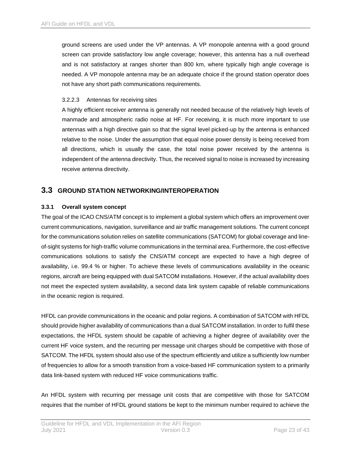ground screens are used under the VP antennas. A VP monopole antenna with a good ground screen can provide satisfactory low angle coverage; however, this antenna has a null overhead and is not satisfactory at ranges shorter than 800 km, where typically high angle coverage is needed. A VP monopole antenna may be an adequate choice if the ground station operator does not have any short path communications requirements.

#### 3.2.2.3 Antennas for receiving sites

A highly efficient receiver antenna is generally not needed because of the relatively high levels of manmade and atmospheric radio noise at HF. For receiving, it is much more important to use antennas with a high directive gain so that the signal level picked-up by the antenna is enhanced relative to the noise. Under the assumption that equal noise power density is being received from all directions, which is usually the case, the total noise power received by the antenna is independent of the antenna directivity. Thus, the received signal to noise is increased by increasing receive antenna directivity.

# <span id="page-24-0"></span>**3.3 GROUND STATION NETWORKING/INTEROPERATION**

#### <span id="page-24-1"></span>**3.3.1 Overall system concept**

The goal of the ICAO CNS/ATM concept is to implement a global system which offers an improvement over current communications, navigation, surveillance and air traffic management solutions. The current concept for the communications solution relies on satellite communications (SATCOM) for global coverage and lineof-sight systems for high-traffic volume communications in the terminal area. Furthermore, the cost-effective communications solutions to satisfy the CNS/ATM concept are expected to have a high degree of availability, i.e. 99.4 % or higher. To achieve these levels of communications availability in the oceanic regions, aircraft are being equipped with dual SATCOM installations. However, if the actual availability does not meet the expected system availability, a second data link system capable of reliable communications in the oceanic region is required.

HFDL can provide communications in the oceanic and polar regions. A combination of SATCOM with HFDL should provide higher availability of communications than a dual SATCOM installation. In order to fulfil these expectations, the HFDL system should be capable of achieving a higher degree of availability over the current HF voice system, and the recurring per message unit charges should be competitive with those of SATCOM. The HFDL system should also use of the spectrum efficiently and utilize a sufficiently low number of frequencies to allow for a smooth transition from a voice-based HF communication system to a primarily data link-based system with reduced HF voice communications traffic.

An HFDL system with recurring per message unit costs that are competitive with those for SATCOM requires that the number of HFDL ground stations be kept to the minimum number required to achieve the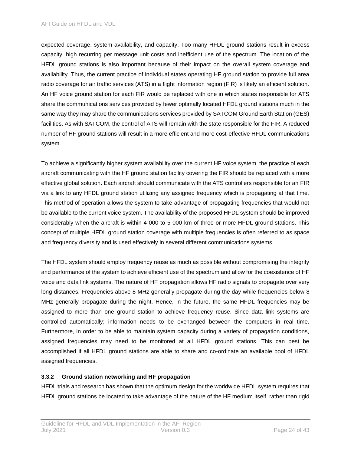expected coverage, system availability, and capacity. Too many HFDL ground stations result in excess capacity, high recurring per message unit costs and inefficient use of the spectrum. The location of the HFDL ground stations is also important because of their impact on the overall system coverage and availability. Thus, the current practice of individual states operating HF ground station to provide full area radio coverage for air traffic services (ATS) in a flight information region (FIR) is likely an efficient solution. An HF voice ground station for each FIR would be replaced with one in which states responsible for ATS share the communications services provided by fewer optimally located HFDL ground stations much in the same way they may share the communications services provided by SATCOM Ground Earth Station (GES) facilities. As with SATCOM, the control of ATS will remain with the state responsible for the FIR. A reduced number of HF ground stations will result in a more efficient and more cost-effective HFDL communications system.

To achieve a significantly higher system availability over the current HF voice system, the practice of each aircraft communicating with the HF ground station facility covering the FIR should be replaced with a more effective global solution. Each aircraft should communicate with the ATS controllers responsible for an FIR via a link to any HFDL ground station utilizing any assigned frequency which is propagating at that time. This method of operation allows the system to take advantage of propagating frequencies that would not be available to the current voice system. The availability of the proposed HFDL system should be improved considerably when the aircraft is within 4 000 to 5 000 km of three or more HFDL ground stations. This concept of multiple HFDL ground station coverage with multiple frequencies is often referred to as space and frequency diversity and is used effectively in several different communications systems.

The HFDL system should employ frequency reuse as much as possible without compromising the integrity and performance of the system to achieve efficient use of the spectrum and allow for the coexistence of HF voice and data link systems. The nature of HF propagation allows HF radio signals to propagate over very long distances. Frequencies above 8 MHz generally propagate during the day while frequencies below 8 MHz generally propagate during the night. Hence, in the future, the same HFDL frequencies may be assigned to more than one ground station to achieve frequency reuse. Since data link systems are controlled automatically; information needs to be exchanged between the computers in real time. Furthermore, in order to be able to maintain system capacity during a variety of propagation conditions, assigned frequencies may need to be monitored at all HFDL ground stations. This can best be accomplished if all HFDL ground stations are able to share and co-ordinate an available pool of HFDL assigned frequencies.

### <span id="page-25-0"></span>**3.3.2 Ground station networking and HF propagation**

HFDL trials and research has shown that the optimum design for the worldwide HFDL system requires that HFDL ground stations be located to take advantage of the nature of the HF medium itself, rather than rigid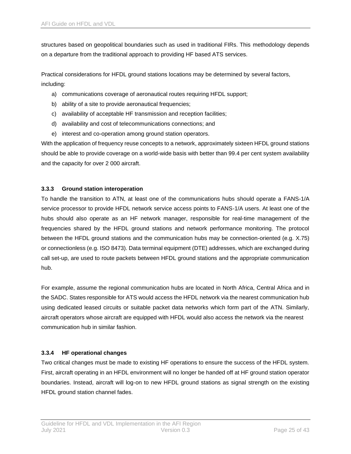structures based on geopolitical boundaries such as used in traditional FIRs. This methodology depends on a departure from the traditional approach to providing HF based ATS services.

Practical considerations for HFDL ground stations locations may be determined by several factors, including:

- a) communications coverage of aeronautical routes requiring HFDL support;
- b) ability of a site to provide aeronautical frequencies;
- c) availability of acceptable HF transmission and reception facilities;
- d) availability and cost of telecommunications connections; and
- e) interest and co-operation among ground station operators.

With the application of frequency reuse concepts to a network, approximately sixteen HFDL ground stations should be able to provide coverage on a world-wide basis with better than 99.4 per cent system availability and the capacity for over 2 000 aircraft.

#### <span id="page-26-0"></span>**3.3.3 Ground station interoperation**

To handle the transition to ATN, at least one of the communications hubs should operate a FANS-1/A service processor to provide HFDL network service access points to FANS-1/A users. At least one of the hubs should also operate as an HF network manager, responsible for real-time management of the frequencies shared by the HFDL ground stations and network performance monitoring. The protocol between the HFDL ground stations and the communication hubs may be connection-oriented (e.g. X.75) or connectionless (e.g. ISO 8473). Data terminal equipment (DTE) addresses, which are exchanged during call set-up, are used to route packets between HFDL ground stations and the appropriate communication hub.

For example, assume the regional communication hubs are located in North Africa, Central Africa and in the SADC. States responsible for ATS would access the HFDL network via the nearest communication hub using dedicated leased circuits or suitable packet data networks which form part of the ATN. Similarly, aircraft operators whose aircraft are equipped with HFDL would also access the network via the nearest communication hub in similar fashion.

### <span id="page-26-1"></span>**3.3.4 HF operational changes**

Two critical changes must be made to existing HF operations to ensure the success of the HFDL system. First, aircraft operating in an HFDL environment will no longer be handed off at HF ground station operator boundaries. Instead, aircraft will log-on to new HFDL ground stations as signal strength on the existing HFDL ground station channel fades.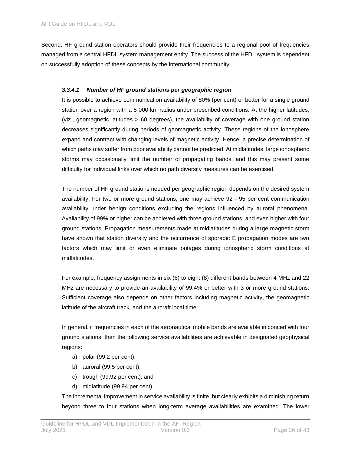Second, HF ground station operators should provide their frequencies to a regional pool of frequencies managed from a central HFDL system management entity. The success of the HFDL system is dependent on successfully adoption of these concepts by the international community.

#### *3.3.4.1 Number of HF ground stations per geographic region*

It is possible to achieve communication availability of 80% (per cent) or better for a single ground station over a region with a 5 000 km radius under prescribed conditions. At the higher latitudes, (viz., geomagnetic latitudes > 60 degrees), the availability of coverage with one ground station decreases significantly during periods of geomagnetic activity. These regions of the ionosphere expand and contract with changing levels of magnetic activity. Hence, a precise determination of which paths may suffer from poor availability cannot be predicted. At midlatitudes, large ionospheric storms may occasionally limit the number of propagating bands, and this may present some difficulty for individual links over which no path diversity measures can be exercised.

The number of HF ground stations needed per geographic region depends on the desired system availability. For two or more ground stations, one may achieve 92 - 95 per cent communication availability under benign conditions excluding the regions influenced by auroral phenomena. Availability of 99% or higher can be achieved with three ground stations, and even higher with four ground stations. Propagation measurements made at midlatitudes during a large magnetic storm have shown that station diversity and the occurrence of sporadic E propagation modes are two factors which may limit or even eliminate outages during ionospheric storm conditions at midlatitudes.

For example, frequency assignments in six (6) to eight (8) different bands between 4 MHz and 22 MHz are necessary to provide an availability of 99.4% or better with 3 or more ground stations. Sufficient coverage also depends on other factors including magnetic activity, the geomagnetic latitude of the aircraft track, and the aircraft local time.

In general, if frequencies in each of the aeronautical mobile bands are available in concert with four ground stations, then the following service availabilities are achievable in designated geophysical regions:

- a) polar (99.2 per cent);
- b) auroral (99.5 per cent);
- c) trough (99.92 per cent); and
- d) midlatitude (99.94 per cent).

The incremental improvement in service availability is finite, but clearly exhibits a diminishing return beyond three to four stations when long-term average availabilities are examined. The lower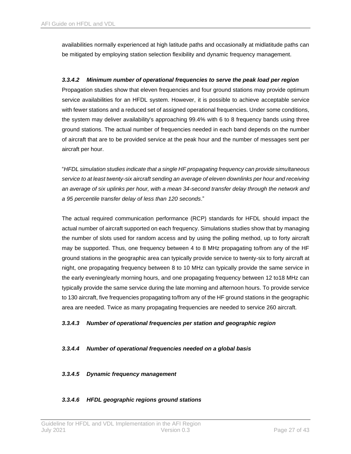availabilities normally experienced at high latitude paths and occasionally at midlatitude paths can be mitigated by employing station selection flexibility and dynamic frequency management.

#### *3.3.4.2 Minimum number of operational frequencies to serve the peak load per region*

Propagation studies show that eleven frequencies and four ground stations may provide optimum service availabilities for an HFDL system. However, it is possible to achieve acceptable service with fewer stations and a reduced set of assigned operational frequencies. Under some conditions, the system may deliver availability's approaching 99.4% with 6 to 8 frequency bands using three ground stations. The actual number of frequencies needed in each band depends on the number of aircraft that are to be provided service at the peak hour and the number of messages sent per aircraft per hour.

"*HFDL simulation studies indicate that a single HF propagating frequency can provide simultaneous service to at least twenty-six aircraft sending an average of eleven downlinks per hour and receiving an average of six uplinks per hour, with a mean 34-second transfer delay through the network and a 95 percentile transfer delay of less than 120 seconds*."

The actual required communication performance (RCP) standards for HFDL should impact the actual number of aircraft supported on each frequency. Simulations studies show that by managing the number of slots used for random access and by using the polling method, up to forty aircraft may be supported. Thus, one frequency between 4 to 8 MHz propagating to/from any of the HF ground stations in the geographic area can typically provide service to twenty-six to forty aircraft at night, one propagating frequency between 8 to 10 MHz can typically provide the same service in the early evening/early morning hours, and one propagating frequency between 12 to18 MHz can typically provide the same service during the late morning and afternoon hours. To provide service to 130 aircraft, five frequencies propagating to/from any of the HF ground stations in the geographic area are needed. Twice as many propagating frequencies are needed to service 260 aircraft.

#### *3.3.4.3 Number of operational frequencies per station and geographic region*

#### *3.3.4.4 Number of operational frequencies needed on a global basis*

#### *3.3.4.5 Dynamic frequency management*

#### *3.3.4.6 HFDL geographic regions ground stations*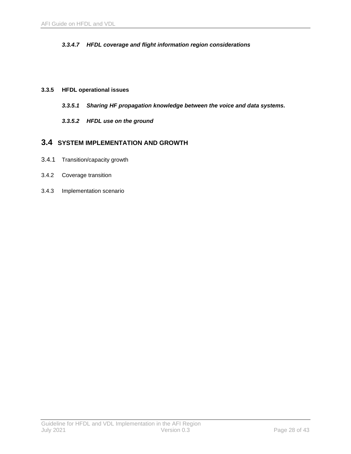### *3.3.4.7 HFDL coverage and flight information region considerations*

#### <span id="page-29-0"></span>**3.3.5 HFDL operational issues**

- *3.3.5.1 Sharing HF propagation knowledge between the voice and data systems.*
- *3.3.5.2 HFDL use on the ground*

# <span id="page-29-1"></span>**3.4 SYSTEM IMPLEMENTATION AND GROWTH**

- <span id="page-29-2"></span>3.4.1 Transition/capacity growth
- <span id="page-29-3"></span>3.4.2 Coverage transition
- <span id="page-29-4"></span>3.4.3 Implementation scenario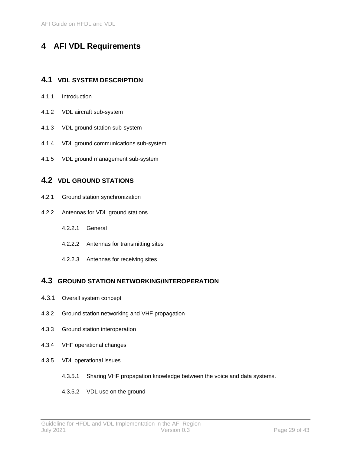# <span id="page-30-0"></span>**4 AFI VDL Requirements**

# <span id="page-30-1"></span>**4.1 VDL SYSTEM DESCRIPTION**

- <span id="page-30-2"></span>4.1.1 Introduction
- <span id="page-30-3"></span>4.1.2 VDL aircraft sub-system
- <span id="page-30-4"></span>4.1.3 VDL ground station sub-system
- <span id="page-30-5"></span>4.1.4 VDL ground communications sub-system
- <span id="page-30-6"></span>4.1.5 VDL ground management sub-system

# <span id="page-30-7"></span>**4.2 VDL GROUND STATIONS**

- <span id="page-30-8"></span>4.2.1 Ground station synchronization
- <span id="page-30-9"></span>4.2.2 Antennas for VDL ground stations
	- 4.2.2.1 General
	- 4.2.2.2 Antennas for transmitting sites
	- 4.2.2.3 Antennas for receiving sites

# <span id="page-30-10"></span>**4.3 GROUND STATION NETWORKING/INTEROPERATION**

- <span id="page-30-11"></span>4.3.1 Overall system concept
- <span id="page-30-12"></span>4.3.2 Ground station networking and VHF propagation
- <span id="page-30-13"></span>4.3.3 Ground station interoperation
- <span id="page-30-14"></span>4.3.4 VHF operational changes
- <span id="page-30-15"></span>4.3.5 VDL operational issues
	- 4.3.5.1 Sharing VHF propagation knowledge between the voice and data systems.
	- 4.3.5.2 VDL use on the ground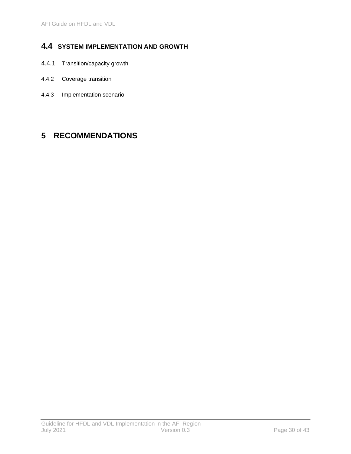# <span id="page-31-0"></span>**4.4 SYSTEM IMPLEMENTATION AND GROWTH**

- <span id="page-31-1"></span>4.4.1 Transition/capacity growth
- <span id="page-31-2"></span>4.4.2 Coverage transition
- <span id="page-31-3"></span>4.4.3 Implementation scenario

# <span id="page-31-4"></span>**5 RECOMMENDATIONS**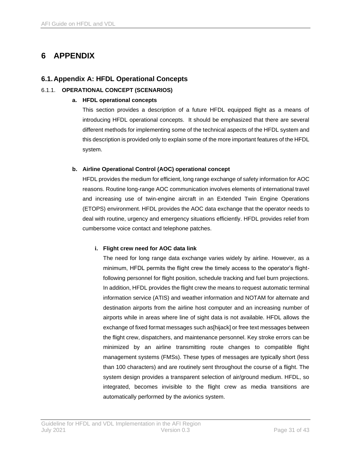# <span id="page-32-0"></span>**6 APPENDIX**

# **6.1.Appendix A: HFDL Operational Concepts**

# 6.1.1. **OPERATIONAL CONCEPT (SCENARIOS)**

#### **a. HFDL operational concepts**

This section provides a description of a future HFDL equipped flight as a means of introducing HFDL operational concepts. It should be emphasized that there are several different methods for implementing some of the technical aspects of the HFDL system and this description is provided only to explain some of the more important features of the HFDL system.

### **b. Airline Operational Control (AOC) operational concept**

HFDL provides the medium for efficient, long range exchange of safety information for AOC reasons. Routine long-range AOC communication involves elements of international travel and increasing use of twin-engine aircraft in an Extended Twin Engine Operations (ETOPS) environment. HFDL provides the AOC data exchange that the operator needs to deal with routine, urgency and emergency situations efficiently. HFDL provides relief from cumbersome voice contact and telephone patches.

### **i. Flight crew need for AOC data link**

The need for long range data exchange varies widely by airline. However, as a minimum, HFDL permits the flight crew the timely access to the operator's flightfollowing personnel for flight position, schedule tracking and fuel burn projections. In addition, HFDL provides the flight crew the means to request automatic terminal information service (ATIS) and weather information and NOTAM for alternate and destination airports from the airline host computer and an increasing number of airports while in areas where line of sight data is not available. HFDL allows the exchange of fixed format messages such as[hijack] or free text messages between the flight crew, dispatchers, and maintenance personnel. Key stroke errors can be minimized by an airline transmitting route changes to compatible flight management systems (FMSs). These types of messages are typically short (less than 100 characters) and are routinely sent throughout the course of a flight. The system design provides a transparent selection of air/ground medium. HFDL, so integrated, becomes invisible to the flight crew as media transitions are automatically performed by the avionics system.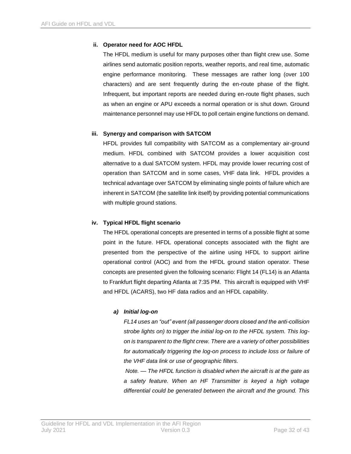### **ii. Operator need for AOC HFDL**

The HFDL medium is useful for many purposes other than flight crew use. Some airlines send automatic position reports, weather reports, and real time, automatic engine performance monitoring. These messages are rather long (over 100 characters) and are sent frequently during the en-route phase of the flight. Infrequent, but important reports are needed during en-route flight phases, such as when an engine or APU exceeds a normal operation or is shut down. Ground maintenance personnel may use HFDL to poll certain engine functions on demand.

### **iii. Synergy and comparison with SATCOM**

HFDL provides full compatibility with SATCOM as a complementary air-ground medium. HFDL combined with SATCOM provides a lower acquisition cost alternative to a dual SATCOM system. HFDL may provide lower recurring cost of operation than SATCOM and in some cases, VHF data link. HFDL provides a technical advantage over SATCOM by eliminating single points of failure which are inherent in SATCOM (the satellite link itself) by providing potential communications with multiple ground stations.

#### **iv. Typical HFDL flight scenario**

The HFDL operational concepts are presented in terms of a possible flight at some point in the future. HFDL operational concepts associated with the flight are presented from the perspective of the airline using HFDL to support airline operational control (AOC) and from the HFDL ground station operator. These concepts are presented given the following scenario: Flight 14 (FL14) is an Atlanta to Frankfurt flight departing Atlanta at 7:35 PM. This aircraft is equipped with VHF and HFDL (ACARS), two HF data radios and an HFDL capability.

### *a) Initial log-on*

*FL14 uses an "out" event (all passenger doors closed and the anti-collision strobe lights on) to trigger the initial log-on to the HFDL system. This logon is transparent to the flight crew. There are a variety of other possibilities*  for automatically triggering the log-on process to include loss or failure of *the VHF data link or use of geographic filters.*

*Note. — The HFDL function is disabled when the aircraft is at the gate as a safety feature. When an HF Transmitter is keyed a high voltage differential could be generated between the aircraft and the ground. This*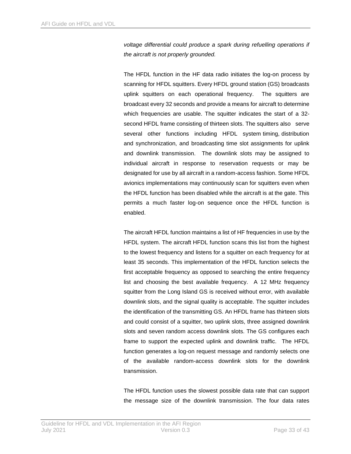*voltage differential could produce a spark during refuelling operations if the aircraft is not properly grounded.*

The HFDL function in the HF data radio initiates the log-on process by scanning for HFDL squitters. Every HFDL ground station (GS) broadcasts uplink squitters on each operational frequency. The squitters are broadcast every 32 seconds and provide a means for aircraft to determine which frequencies are usable. The squitter indicates the start of a 32 second HFDL frame consisting of thirteen slots. The squitters also serve several other functions including HFDL system timing, distribution and synchronization, and broadcasting time slot assignments for uplink and downlink transmission. The downlink slots may be assigned to individual aircraft in response to reservation requests or may be designated for use by all aircraft in a random-access fashion. Some HFDL avionics implementations may continuously scan for squitters even when the HFDL function has been disabled while the aircraft is at the gate. This permits a much faster log-on sequence once the HFDL function is enabled.

The aircraft HFDL function maintains a list of HF frequencies in use by the HFDL system. The aircraft HFDL function scans this list from the highest to the lowest frequency and listens for a squitter on each frequency for at least 35 seconds. This implementation of the HFDL function selects the first acceptable frequency as opposed to searching the entire frequency list and choosing the best available frequency. A 12 MHz frequency squitter from the Long Island GS is received without error, with available downlink slots, and the signal quality is acceptable. The squitter includes the identification of the transmitting GS. An HFDL frame has thirteen slots and could consist of a squitter, two uplink slots, three assigned downlink slots and seven random access downlink slots. The GS configures each frame to support the expected uplink and downlink traffic. The HFDL function generates a log-on request message and randomly selects one of the available random-access downlink slots for the downlink transmission.

The HFDL function uses the slowest possible data rate that can support the message size of the downlink transmission. The four data rates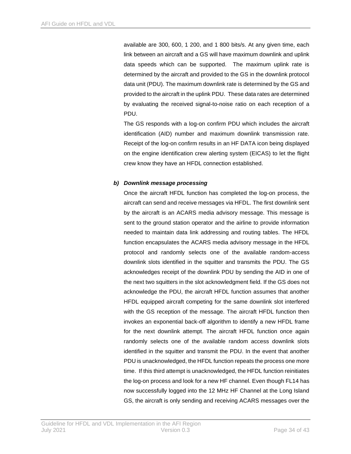available are 300, 600, 1 200, and 1 800 bits/s. At any given time, each link between an aircraft and a GS will have maximum downlink and uplink data speeds which can be supported. The maximum uplink rate is determined by the aircraft and provided to the GS in the downlink protocol data unit (PDU). The maximum downlink rate is determined by the GS and provided to the aircraft in the uplink PDU. These data rates are determined by evaluating the received signal-to-noise ratio on each reception of a PDU.

The GS responds with a log-on confirm PDU which includes the aircraft identification (AID) number and maximum downlink transmission rate. Receipt of the log-on confirm results in an HF DATA icon being displayed on the engine identification crew alerting system (EICAS) to let the flight crew know they have an HFDL connection established.

#### *b) Downlink message processing*

Once the aircraft HFDL function has completed the log-on process, the aircraft can send and receive messages via HFDL. The first downlink sent by the aircraft is an ACARS media advisory message. This message is sent to the ground station operator and the airline to provide information needed to maintain data link addressing and routing tables. The HFDL function encapsulates the ACARS media advisory message in the HFDL protocol and randomly selects one of the available random-access downlink slots identified in the squitter and transmits the PDU. The GS acknowledges receipt of the downlink PDU by sending the AID in one of the next two squitters in the slot acknowledgment field. If the GS does not acknowledge the PDU, the aircraft HFDL function assumes that another HFDL equipped aircraft competing for the same downlink slot interfered with the GS reception of the message. The aircraft HFDL function then invokes an exponential back-off algorithm to identify a new HFDL frame for the next downlink attempt. The aircraft HFDL function once again randomly selects one of the available random access downlink slots identified in the squitter and transmit the PDU. In the event that another PDU is unacknowledged, the HFDL function repeats the process one more time. If this third attempt is unacknowledged, the HFDL function reinitiates the log-on process and look for a new HF channel. Even though FL14 has now successfully logged into the 12 MHz HF Channel at the Long Island GS, the aircraft is only sending and receiving ACARS messages over the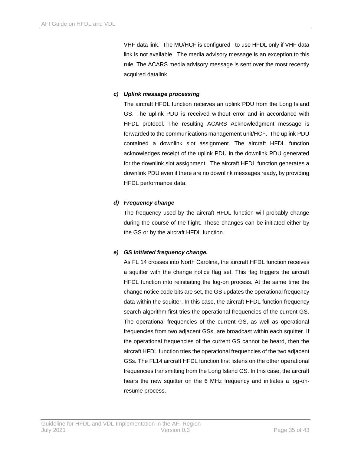VHF data link. The MU/HCF is configured to use HFDL only if VHF data link is not available. The media advisory message is an exception to this rule. The ACARS media advisory message is sent over the most recently acquired datalink.

# *c) Uplink message processing*

The aircraft HFDL function receives an uplink PDU from the Long Island GS. The uplink PDU is received without error and in accordance with HFDL protocol. The resulting ACARS Acknowledgment message is forwarded to the communications management unit/HCF. The uplink PDU contained a downlink slot assignment. The aircraft HFDL function acknowledges receipt of the uplink PDU in the downlink PDU generated for the downlink slot assignment. The aircraft HFDL function generates a downlink PDU even if there are no downlink messages ready, by providing HFDL performance data.

### *d) Frequency change*

The frequency used by the aircraft HFDL function will probably change during the course of the flight. These changes can be initiated either by the GS or by the aircraft HFDL function.

# *e) GS initiated frequency change.*

As FL 14 crosses into North Carolina, the aircraft HFDL function receives a squitter with the change notice flag set. This flag triggers the aircraft HFDL function into reinitiating the log-on process. At the same time the change notice code bits are set, the GS updates the operational frequency data within the squitter. In this case, the aircraft HFDL function frequency search algorithm first tries the operational frequencies of the current GS. The operational frequencies of the current GS, as well as operational frequencies from two adjacent GSs, are broadcast within each squitter. If the operational frequencies of the current GS cannot be heard, then the aircraft HFDL function tries the operational frequencies of the two adjacent GSs. The FL14 aircraft HFDL function first listens on the other operational frequencies transmitting from the Long Island GS. In this case, the aircraft hears the new squitter on the 6 MHz frequency and initiates a log-onresume process.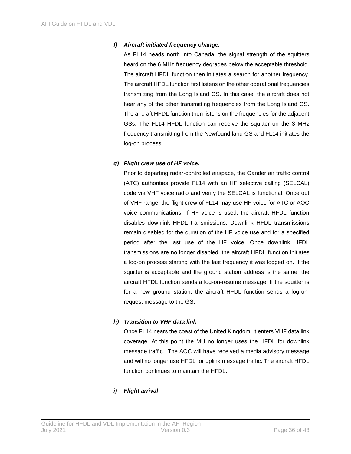### *f) Aircraft initiated frequency change.*

As FL14 heads north into Canada, the signal strength of the squitters heard on the 6 MHz frequency degrades below the acceptable threshold. The aircraft HFDL function then initiates a search for another frequency. The aircraft HFDL function first listens on the other operational frequencies transmitting from the Long Island GS. In this case, the aircraft does not hear any of the other transmitting frequencies from the Long Island GS. The aircraft HFDL function then listens on the frequencies for the adjacent GSs. The FL14 HFDL function can receive the squitter on the 3 MHz frequency transmitting from the Newfound land GS and FL14 initiates the log-on process.

### *g) Flight crew use of HF voice.*

Prior to departing radar-controlled airspace, the Gander air traffic control (ATC) authorities provide FL14 with an HF selective calling (SELCAL) code via VHF voice radio and verify the SELCAL is functional. Once out of VHF range, the flight crew of FL14 may use HF voice for ATC or AOC voice communications. If HF voice is used, the aircraft HFDL function disables downlink HFDL transmissions. Downlink HFDL transmissions remain disabled for the duration of the HF voice use and for a specified period after the last use of the HF voice. Once downlink HFDL transmissions are no longer disabled, the aircraft HFDL function initiates a log-on process starting with the last frequency it was logged on. If the squitter is acceptable and the ground station address is the same, the aircraft HFDL function sends a log-on-resume message. If the squitter is for a new ground station, the aircraft HFDL function sends a log-onrequest message to the GS.

### *h) Transition to VHF data link*

Once FL14 nears the coast of the United Kingdom, it enters VHF data link coverage. At this point the MU no longer uses the HFDL for downlink message traffic. The AOC will have received a media advisory message and will no longer use HFDL for uplink message traffic. The aircraft HFDL function continues to maintain the HFDL.

### *i) Flight arrival*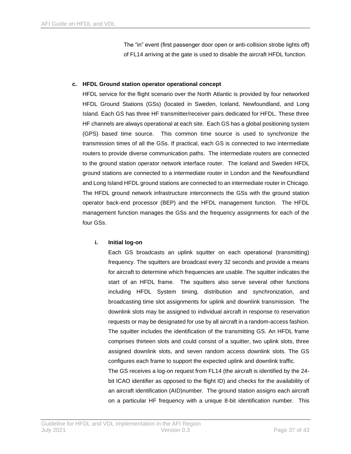The "in" event (first passenger door open or anti-collision strobe lights off) of FL14 arriving at the gate is used to disable the aircraft HFDL function.

#### **c. HFDL Ground station operator operational concept**

HFDL service for the flight scenario over the North Atlantic is provided by four networked HFDL Ground Stations (GSs) (located in Sweden, Iceland, Newfoundland, and Long Island. Each GS has three HF transmitter/receiver pairs dedicated for HFDL. These three HF channels are always operational at each site. Each GS has a global positioning system (GPS) based time source. This common time source is used to synchronize the transmission times of all the GSs. If practical, each GS is connected to two intermediate routers to provide diverse communication paths. The intermediate routers are connected to the ground station operator network interface router. The Iceland and Sweden HFDL ground stations are connected to a intermediate router in London and the Newfoundland and Long Island HFDL ground stations are connected to an intermediate router in Chicago. The HFDL ground network infrastructure interconnects the GSs with the ground station operator back-end processor (BEP) and the HFDL management function. The HFDL management function manages the GSs and the frequency assignments for each of the four GSs.

#### **i. Initial log-on**

Each GS broadcasts an uplink squitter on each operational (transmitting) frequency. The squitters are broadcast every 32 seconds and provide a means for aircraft to determine which frequencies are usable. The squitter indicates the start of an HFDL frame. The squitters also serve several other functions including HFDL System timing, distribution and synchronization, and broadcasting time slot assignments for uplink and downlink transmission. The downlink slots may be assigned to individual aircraft in response to reservation requests or may be designated for use by all aircraft in a random-access fashion. The squitter includes the identification of the transmitting GS. An HFDL frame comprises thirteen slots and could consist of a squitter, two uplink slots, three assigned downlink slots, and seven random access downlink slots. The GS configures each frame to support the expected uplink and downlink traffic.

The GS receives a log-on request from FL14 (the aircraft is identified by the 24 bit ICAO identifier as opposed to the flight ID) and checks for the availability of an aircraft identification (AID)number. The ground station assigns each aircraft on a particular HF frequency with a unique 8-bit identification number. This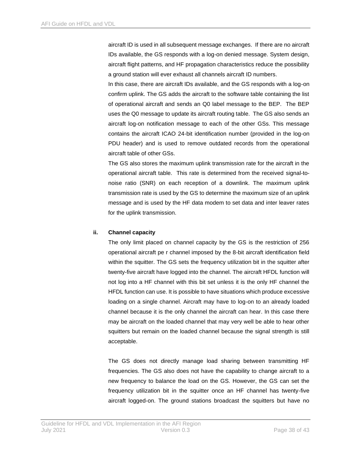aircraft ID is used in all subsequent message exchanges. If there are no aircraft IDs available, the GS responds with a log-on denied message. System design, aircraft flight patterns, and HF propagation characteristics reduce the possibility a ground station will ever exhaust all channels aircraft ID numbers.

In this case, there are aircraft IDs available, and the GS responds with a log-on confirm uplink. The GS adds the aircraft to the software table containing the list of operational aircraft and sends an Q0 label message to the BEP. The BEP uses the Q0 message to update its aircraft routing table. The GS also sends an aircraft log-on notification message to each of the other GSs. This message contains the aircraft ICAO 24-bit identification number (provided in the log-on PDU header) and is used to remove outdated records from the operational aircraft table of other GSs.

The GS also stores the maximum uplink transmission rate for the aircraft in the operational aircraft table. This rate is determined from the received signal-tonoise ratio (SNR) on each reception of a downlink. The maximum uplink transmission rate is used by the GS to determine the maximum size of an uplink message and is used by the HF data modem to set data and inter leaver rates for the uplink transmission.

#### **ii. Channel capacity**

The only limit placed on channel capacity by the GS is the restriction of 256 operational aircraft pe r channel imposed by the 8-bit aircraft identification field within the squitter. The GS sets the frequency utilization bit in the squitter after twenty-five aircraft have logged into the channel. The aircraft HFDL function will not log into a HF channel with this bit set unless it is the only HF channel the HFDL function can use. It is possible to have situations which produce excessive loading on a single channel. Aircraft may have to log-on to an already loaded channel because it is the only channel the aircraft can hear. In this case there may be aircraft on the loaded channel that may very well be able to hear other squitters but remain on the loaded channel because the signal strength is still acceptable.

The GS does not directly manage load sharing between transmitting HF frequencies. The GS also does not have the capability to change aircraft to a new frequency to balance the load on the GS. However, the GS can set the frequency utilization bit in the squitter once an HF channel has twenty-five aircraft logged-on. The ground stations broadcast the squitters but have no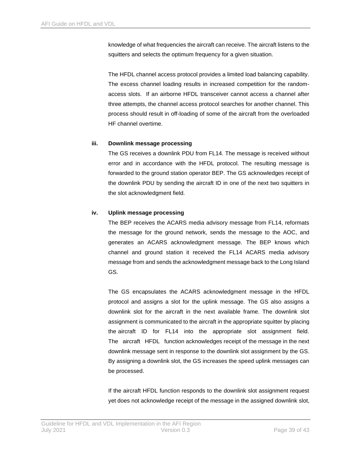knowledge of what frequencies the aircraft can receive. The aircraft listens to the squitters and selects the optimum frequency for a given situation.

The HFDL channel access protocol provides a limited load balancing capability. The excess channel loading results in increased competition for the randomaccess slots. If an airborne HFDL transceiver cannot access a channel after three attempts, the channel access protocol searches for another channel. This process should result in off-loading of some of the aircraft from the overloaded HF channel overtime.

#### **iii. Downlink message processing**

The GS receives a downlink PDU from FL14. The message is received without error and in accordance with the HFDL protocol. The resulting message is forwarded to the ground station operator BEP. The GS acknowledges receipt of the downlink PDU by sending the aircraft ID in one of the next two squitters in the slot acknowledgment field.

### **iv. Uplink message processing**

The BEP receives the ACARS media advisory message from FL14, reformats the message for the ground network, sends the message to the AOC, and generates an ACARS acknowledgment message. The BEP knows which channel and ground station it received the FL14 ACARS media advisory message from and sends the acknowledgment message back to the Long Island GS.

The GS encapsulates the ACARS acknowledgment message in the HFDL protocol and assigns a slot for the uplink message. The GS also assigns a downlink slot for the aircraft in the next available frame. The downlink slot assignment is communicated to the aircraft in the appropriate squitter by placing the aircraft ID for FL14 into the appropriate slot assignment field. The aircraft HFDL function acknowledges receipt of the message in the next downlink message sent in response to the downlink slot assignment by the GS. By assigning a downlink slot, the GS increases the speed uplink messages can be processed.

If the aircraft HFDL function responds to the downlink slot assignment request yet does not acknowledge receipt of the message in the assigned downlink slot,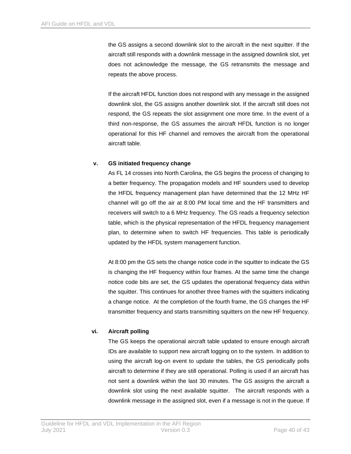the GS assigns a second downlink slot to the aircraft in the next squitter. If the aircraft still responds with a downlink message in the assigned downlink slot, yet does not acknowledge the message, the GS retransmits the message and repeats the above process.

If the aircraft HFDL function does not respond with any message in the assigned downlink slot, the GS assigns another downlink slot. If the aircraft still does not respond, the GS repeats the slot assignment one more time. In the event of a third non-response, the GS assumes the aircraft HFDL function is no longer operational for this HF channel and removes the aircraft from the operational aircraft table.

#### **v. GS initiated frequency change**

As FL 14 crosses into North Carolina, the GS begins the process of changing to a better frequency. The propagation models and HF sounders used to develop the HFDL frequency management plan have determined that the 12 MHz HF channel will go off the air at 8:00 PM local time and the HF transmitters and receivers will switch to a 6 MHz frequency. The GS reads a frequency selection table, which is the physical representation of the HFDL frequency management plan, to determine when to switch HF frequencies. This table is periodically updated by the HFDL system management function.

At 8:00 pm the GS sets the change notice code in the squitter to indicate the GS is changing the HF frequency within four frames. At the same time the change notice code bits are set, the GS updates the operational frequency data within the squitter. This continues for another three frames with the squitters indicating a change notice. At the completion of the fourth frame, the GS changes the HF transmitter frequency and starts transmitting squitters on the new HF frequency.

#### **vi. Aircraft polling**

The GS keeps the operational aircraft table updated to ensure enough aircraft IDs are available to support new aircraft logging on to the system. In addition to using the aircraft log-on event to update the tables, the GS periodically polls aircraft to determine if they are still operational. Polling is used if an aircraft has not sent a downlink within the last 30 minutes. The GS assigns the aircraft a downlink slot using the next available squitter. The aircraft responds with a downlink message in the assigned slot, even if a message is not in the queue. If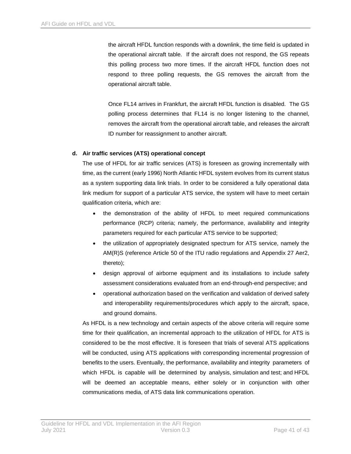the aircraft HFDL function responds with a downlink, the time field is updated in the operational aircraft table. If the aircraft does not respond, the GS repeats this polling process two more times. If the aircraft HFDL function does not respond to three polling requests, the GS removes the aircraft from the operational aircraft table.

Once FL14 arrives in Frankfurt, the aircraft HFDL function is disabled. The GS polling process determines that FL14 is no longer listening to the channel, removes the aircraft from the operational aircraft table, and releases the aircraft ID number for reassignment to another aircraft.

#### **d. Air traffic services (ATS) operational concept**

The use of HFDL for air traffic services (ATS) is foreseen as growing incrementally with time, as the current (early 1996) North Atlantic HFDL system evolves from its current status as a system supporting data link trials. In order to be considered a fully operational data link medium for support of a particular ATS service, the system will have to meet certain qualification criteria, which are:

- the demonstration of the ability of HFDL to meet required communications performance (RCP) criteria; namely, the performance, availability and integrity parameters required for each particular ATS service to be supported;
- the utilization of appropriately designated spectrum for ATS service, namely the AM(R)S (reference Article 50 of the ITU radio regulations and Appendix 27 Aer2, thereto);
- design approval of airborne equipment and its installations to include safety assessment considerations evaluated from an end-through-end perspective; and
- operational authorization based on the verification and validation of derived safety and interoperability requirements/procedures which apply to the aircraft, space, and ground domains.

As HFDL is a new technology and certain aspects of the above criteria will require some time for their qualification, an incremental approach to the utilization of HFDL for ATS is considered to be the most effective. It is foreseen that trials of several ATS applications will be conducted, using ATS applications with corresponding incremental progression of benefits to the users. Eventually, the performance, availability and integrity parameters of which HFDL is capable will be determined by analysis, simulation and test; and HFDL will be deemed an acceptable means, either solely or in conjunction with other communications media, of ATS data link communications operation.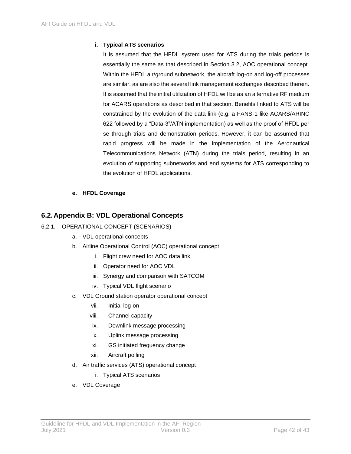### **i. Typical ATS scenarios**

It is assumed that the HFDL system used for ATS during the trials periods is essentially the same as that described in Section 3.2, AOC operational concept. Within the HFDL air/ground subnetwork, the aircraft log-on and log-off processes are similar, as are also the several link management exchanges described therein. It is assumed that the initial utilization of HFDL will be as an alternative RF medium for ACARS operations as described in that section. Benefits linked to ATS will be constrained by the evolution of the data link (e.g. a FANS-1 like ACARS/ARINC 622 followed by a "Data-3"/ATN implementation) as well as the proof of HFDL per se through trials and demonstration periods. However, it can be assumed that rapid progress will be made in the implementation of the Aeronautical Telecommunications Network (ATN) during the trials period, resulting in an evolution of supporting subnetworks and end systems for ATS corresponding to the evolution of HFDL applications.

### **e. HFDL Coverage**

# **6.2.Appendix B: VDL Operational Concepts**

- 6.2.1. OPERATIONAL CONCEPT (SCENARIOS)
	- a. VDL operational concepts
	- b. Airline Operational Control (AOC) operational concept
		- i. Flight crew need for AOC data link
		- ii. Operator need for AOC VDL
		- iii. Synergy and comparison with SATCOM
		- iv. Typical VDL flight scenario
	- c. VDL Ground station operator operational concept
		- vii. Initial log-on
		- viii. Channel capacity
		- ix. Downlink message processing
		- x. Uplink message processing
		- xi. GS initiated frequency change
		- xii. Aircraft polling
	- d. Air traffic services (ATS) operational concept
		- i. Typical ATS scenarios
	- e. VDL Coverage